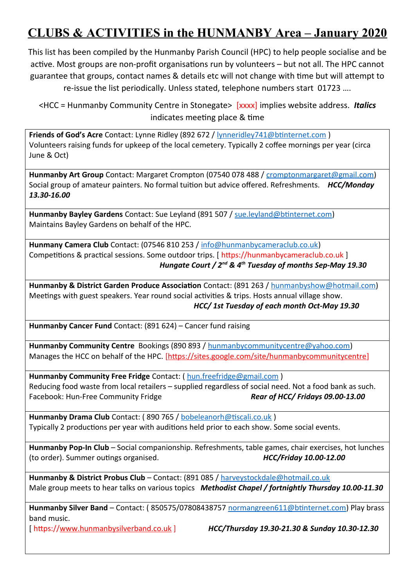## **CLUBS & ACTIVITIES in the HUNMANBY Area – January 2020**

This list has been compiled by the Hunmanby Parish Council (HPC) to help people socialise and be active. Most groups are non-profit organisations run by volunteers – but not all. The HPC cannot guarantee that groups, contact names & details etc will not change with time but will attempt to re-issue the list periodically. Unless stated, telephone numbers start 01723 ….

<HCC = Hunmanby Community Centre in Stonegate> [xxxx] implies website address. *Italics* indicates meeting place & time

**Friends of God's Acre** Contact: Lynne Ridley (892 672 / [lynneridley741@btinternet.com](mailto:lynneridley741@btinternet.com) ) Volunteers raising funds for upkeep of the local cemetery. Typically 2 coffee mornings per year (circa June & Oct)

Hunmanby Art Group Contact: Margaret Crompton (07540 078 488 / [cromptonmargaret@gmail.com\)](mailto:cromptonmargaret@gmail.com) Social group of amateur painters. No formal tuition but advice offered. Refreshments. *HCC/Monday 13.30-16.00*

**Hunmanby Bayley Gardens** Contact: Sue Leyland (891 507 / [sue.leyland@btinternet.com\)](mailto:sue.leyland@btinternet.com) Maintains Bayley Gardens on behalf of the HPC.

**Hunmany Camera Club** Contact: (07546 810 253 / [info@hunmanbycameraclub.co.uk\)](mailto:info@hunmanbycameraclub.co.uk) Competitions & practical sessions. Some outdoor trips. [ https://hunmanbycameraclub.co.uk ]  *Hungate Court / 2nd & 4th Tuesday of months Sep-May 19.30*

Hunmanby & District Garden Produce Association Contact: (891 263 / [hunmanbyshow@hotmail.com\)](mailto:hunmanbyshow@hotmail.com) Meetings with guest speakers. Year round social activities & trips. Hosts annual village show.  *HCC/ 1st Tuesday of each month Oct-May 19.30*

**Hunmanby Cancer Fund** Contact: (891 624) – Cancer fund raising

**Hunmanby Community Centre** Bookings (890 893 / [hunmanbycommunitycentre@yahoo.com\)](mailto:hunmanbycommunitycentre@yahoo.com) Manages the HCC on behalf of the HPC. [\[https://sites.google.com/site/hunmanbycommunitycentre\]](https://sites.google.com/site/hunmanbycommunitycentre)

**Hunmanby Community Free Fridge** Contact: ( [hun.freefridge@gmail.com](mailto:hun.freefridge@gmail.com) ) Reducing food waste from local retailers – supplied regardless of social need. Not a food bank as such. Facebook: Hun-Free Community Fridge *Rear of HCC/ Fridays 09.00-13.00*

**Hunmanby Drama Club** Contact: ( 890 765 / [bobeleanorh@tiscali.co.uk](mailto:bobeleanorh@tiscali.co.uk) ) Typically 2 productions per year with auditions held prior to each show. Some social events.

**Hunmanby Pop-In Club** – Social companionship. Refreshments, table games, chair exercises, hot lunches (to order). Summer outings organised. *HCC/Friday 10.00-12.00*

**Hunmanby & District Probus Club** – Contact: (891 085 / [harveystockdale@hotmail.co.uk](mailto:harveystockdale@hotmail.co.uk) Male group meets to hear talks on various topics *Methodist Chapel / fortnightly Thursday 10.00-11.30*

Hunmanby Silver Band - Contact: (850575/07808438757 [normangreen611@btinternet.com\)](mailto:normangreen611@btinternet.com) Play brass band music.

[ https:/[/www.hunmanbysilverband.co.uk](http://www.hunmanbysilverband.co.uk/) ] *HCC/Thursday 19.30-21.30 & Sunday 10.30-12.30*